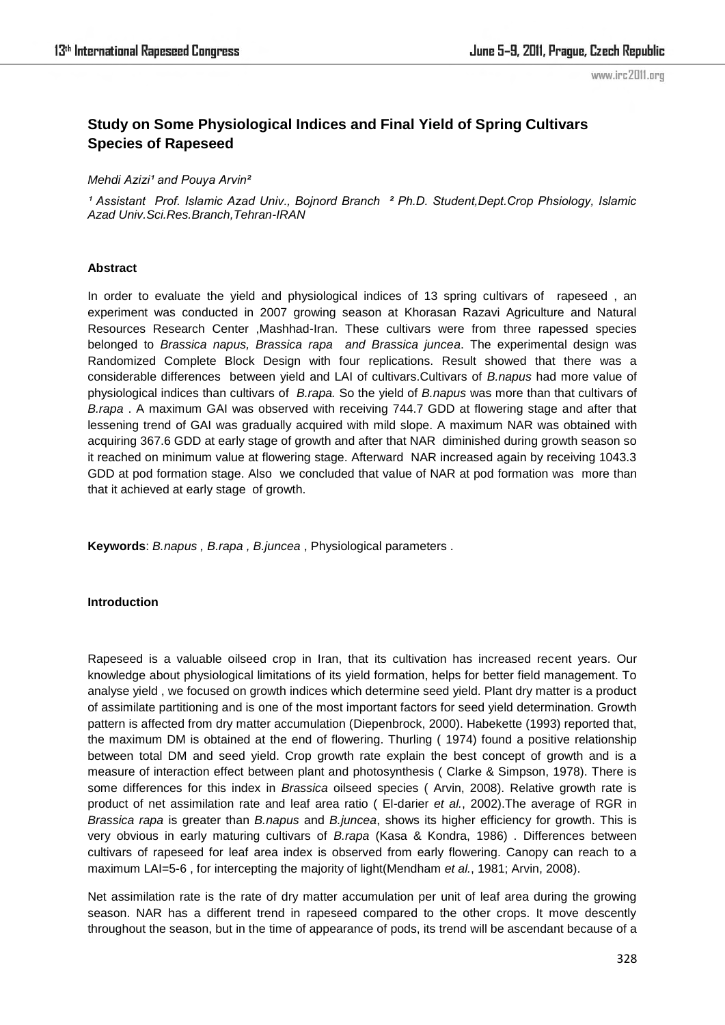# **Study on Some Physiological Indices and Final Yield of Spring Cultivars Species of Rapeseed**

# *Mehdi Azizi<sup>1</sup> and Pouya Arvin<sup>2</sup>*

<sup>1</sup> Assistant Prof. Islamic Azad Univ., Bojnord Branch <sup>2</sup> Ph.D. Student,Dept.Crop Phsiology, Islamic *Azad Univ.Sci.Res.Branch,Tehran-IRAN* 

# **Abstract**

In order to evaluate the yield and physiological indices of 13 spring cultivars of rapeseed , an experiment was conducted in 2007 growing season at Khorasan Razavi Agriculture and Natural Resources Research Center ,Mashhad-Iran. These cultivars were from three rapessed species belonged to *Brassica napus, Brassica rapa and Brassica juncea*. The experimental design was Randomized Complete Block Design with four replications. Result showed that there was a considerable differences between yield and LAI of cultivars.Cultivars of *B.napus* had more value of physiological indices than cultivars of *B.rapa.* So the yield of *B.napus* was more than that cultivars of *B.rapa* . A maximum GAI was observed with receiving 744.7 GDD at flowering stage and after that lessening trend of GAI was gradually acquired with mild slope. A maximum NAR was obtained with acquiring 367.6 GDD at early stage of growth and after that NAR diminished during growth season so it reached on minimum value at flowering stage. Afterward NAR increased again by receiving 1043.3 GDD at pod formation stage. Also we concluded that value of NAR at pod formation was more than that it achieved at early stage of growth.

**Keywords**: *B.napus , B.rapa , B.juncea* , Physiological parameters .

# **Introduction**

Rapeseed is a valuable oilseed crop in Iran, that its cultivation has increased recent years. Our knowledge about physiological limitations of its yield formation, helps for better field management. To analyse yield , we focused on growth indices which determine seed yield. Plant dry matter is a product of assimilate partitioning and is one of the most important factors for seed yield determination. Growth pattern is affected from dry matter accumulation (Diepenbrock, 2000). Habekette (1993) reported that, the maximum DM is obtained at the end of flowering. Thurling ( 1974) found a positive relationship between total DM and seed yield. Crop growth rate explain the best concept of growth and is a measure of interaction effect between plant and photosynthesis ( Clarke & Simpson, 1978). There is some differences for this index in *Brassica* oilseed species ( Arvin, 2008). Relative growth rate is product of net assimilation rate and leaf area ratio ( El-darier *et al.*, 2002).The average of RGR in *Brassica rapa* is greater than *B.napus* and *B.juncea*, shows its higher efficiency for growth. This is very obvious in early maturing cultivars of *B.rapa* (Kasa & Kondra, 1986) . Differences between cultivars of rapeseed for leaf area index is observed from early flowering. Canopy can reach to a maximum LAI=5-6 , for intercepting the majority of light(Mendham *et al.*, 1981; Arvin, 2008).

Net assimilation rate is the rate of dry matter accumulation per unit of leaf area during the growing season. NAR has a different trend in rapeseed compared to the other crops. It move descently throughout the season, but in the time of appearance of pods, its trend will be ascendant because of a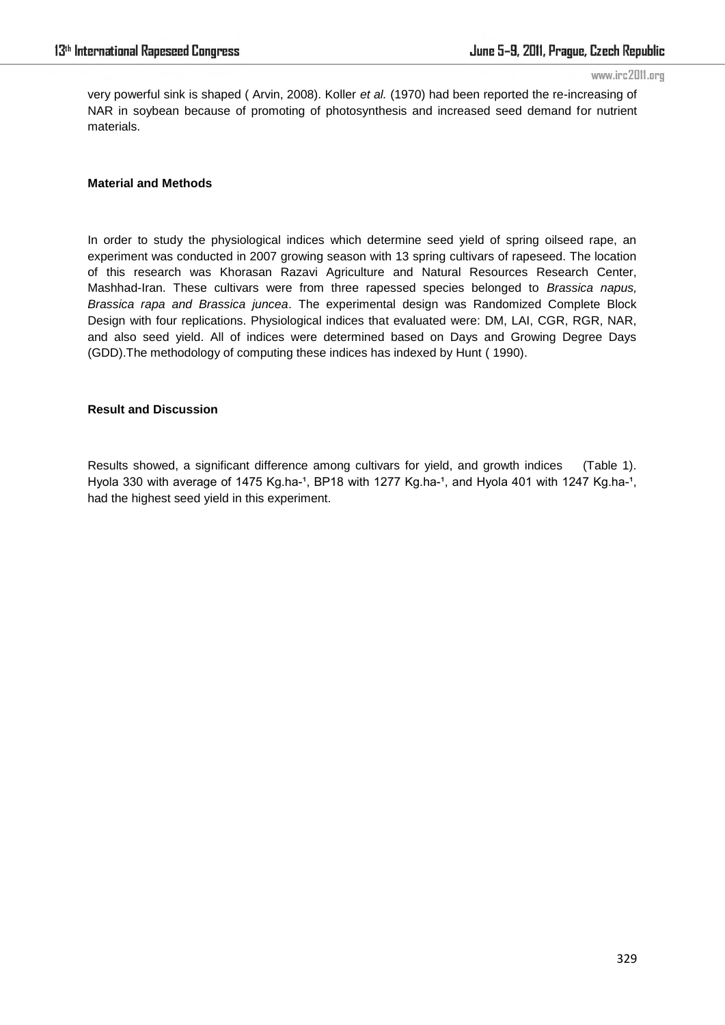very powerful sink is shaped ( Arvin, 2008). Koller *et al.* (1970) had been reported the re-increasing of NAR in soybean because of promoting of photosynthesis and increased seed demand for nutrient materials.

## **Material and Methods**

In order to study the physiological indices which determine seed yield of spring oilseed rape, an experiment was conducted in 2007 growing season with 13 spring cultivars of rapeseed. The location of this research was Khorasan Razavi Agriculture and Natural Resources Research Center, Mashhad-Iran. These cultivars were from three rapessed species belonged to *Brassica napus, Brassica rapa and Brassica juncea*. The experimental design was Randomized Complete Block Design with four replications. Physiological indices that evaluated were: DM, LAI, CGR, RGR, NAR, and also seed yield. All of indices were determined based on Days and Growing Degree Days (GDD).The methodology of computing these indices has indexed by Hunt ( 1990).

# **Result and Discussion**

Results showed, a significant difference among cultivars for yield, and growth indices (Table 1). Hyola 330 with average of 1475 Kg.ha-1, BP18 with 1277 Kg.ha-1, and Hyola 401 with 1247 Kg.ha-1, had the highest seed yield in this experiment.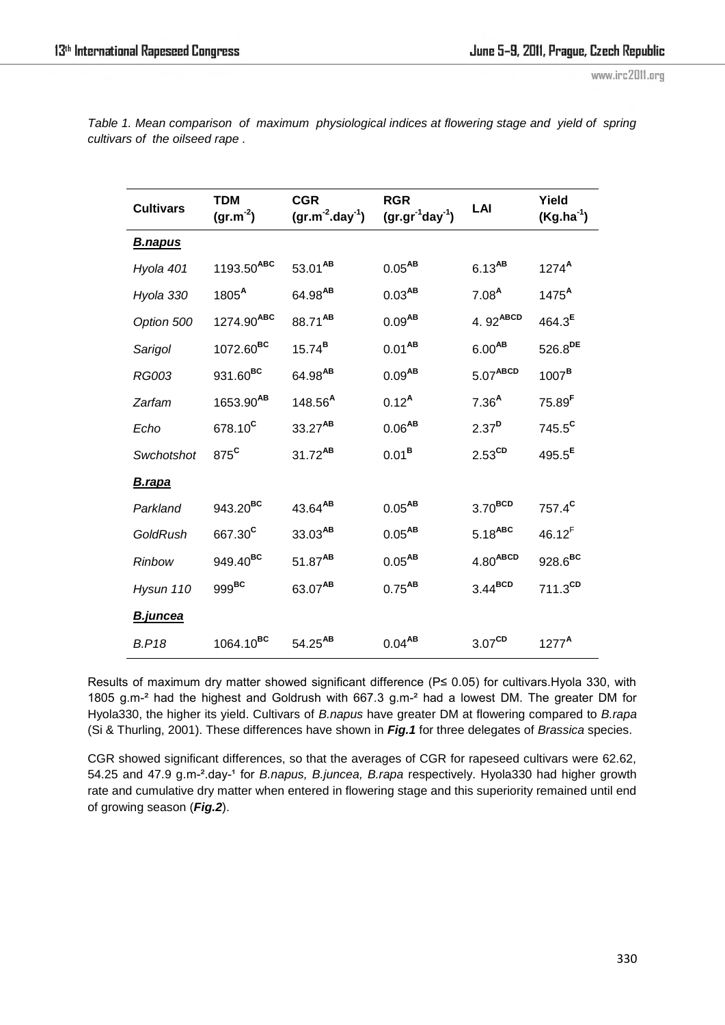| <b>Cultivars</b> | <b>TDM</b><br>$(gr.m-2)$ | <b>CGR</b><br>$(gr.m-2.day-1)$ | <b>RGR</b><br>$(gr.gr^{-1}day^{-1})$ | LAI                  | Yield<br>$(Kg.ha^{-1})$ |
|------------------|--------------------------|--------------------------------|--------------------------------------|----------------------|-------------------------|
| <u>B.napus</u>   |                          |                                |                                      |                      |                         |
| Hyola 401        | 1193.50ABC               | 53.01 <sup>AB</sup>            | $0.05^{\text{AB}}$                   | $6.13^{AB}$          | $1274^A$                |
| Hyola 330        | 1805 <sup>A</sup>        | $64.98^{AB}$                   | $0.03^{\sf AB}$                      | 7.08 <sup>A</sup>    | 1475 <sup>A</sup>       |
| Option 500       | 1274.90ABC               | 88.71 <sup>AB</sup>            | $0.09^{AB}$                          | 4.92ABCD             | $464.3^{E}$             |
| Sarigol          | 1072.60 <sup>BC</sup>    | $15.74^{B}$                    | $0.01^{AB}$                          | $6.00^{AB}$          | $526.8^{DE}$            |
| <b>RG003</b>     | 931.60BC                 | $64.98^{AB}$                   | $0.09^{\mathsf{AB}}$                 | 5.07 <sup>ABCD</sup> | 1007 <sup>B</sup>       |
| Zarfam           | 1653.90AB                | 148.56 <sup>A</sup>            | $0.12^{A}$                           | 7.36 <sup>A</sup>    | $75.89$ <sup>F</sup>    |
| Echo             | 678.10 <sup>c</sup>      | 33.27AB                        | $0.06^{\sf AB}$                      | 2.37 <sup>D</sup>    | 745.5 <sup>c</sup>      |
| Swchotshot       | 875 <sup>c</sup>         | $31.72^{AB}$                   | $0.01^{\text{B}}$                    | $2.53^{\text{CD}}$   | $495.5^{\text{E}}$      |
| B.rapa           |                          |                                |                                      |                      |                         |
| Parkland         | 943.20 <sup>BC</sup>     | 43.64AB                        | $0.05^{\text{AB}}$                   | $3.70^{BCD}$         | 757.4 <sup>c</sup>      |
| GoldRush         | 667.30 <sup>c</sup>      | 33.03AB                        | $0.05^{\text{AB}}$                   | $5.18^{ABC}$         | $46.12^{F}$             |
| Rinbow           | 949.40BC                 | 51.87AB                        | $0.05^{AB}$                          | 4.80 <sup>ABCD</sup> | $928.6^{BC}$            |
| Hysun 110        | $999^{\rm BC}$           | 63.07AB                        | $0.75^{AB}$                          | 3.44 <sup>BCD</sup>  | $711.3^{CD}$            |
| <b>B.juncea</b>  |                          |                                |                                      |                      |                         |
| <b>B.P18</b>     | $1064.10^{BC}$           | $54.25^{AB}$                   | $0.04^{\sf AB}$                      | 3.07 <sup>CD</sup>   | 1277 <sup>A</sup>       |

*Table 1. Mean comparison of maximum physiological indices at flowering stage and yield of spring cultivars of the oilseed rape .*

Results of maximum dry matter showed significant difference (P≤ 0.05) for cultivars. Hyola 330, with 1805 g.m-² had the highest and Goldrush with 667.3 g.m-² had a lowest DM. The greater DM for Hyola330, the higher its yield. Cultivars of *B.napus* have greater DM at flowering compared to *B.rapa* (Si & Thurling, 2001). These differences have shown in *Fig.1* for three delegates of *Brassica* species.

CGR showed significant differences, so that the averages of CGR for rapeseed cultivars were 62.62, 54.25 and 47.9 g.m-<sup>2</sup>.day-<sup>1</sup> for *B.napus, B.juncea, B.rapa* respectively. Hyola330 had higher growth rate and cumulative dry matter when entered in flowering stage and this superiority remained until end of growing season (*Fig.2*).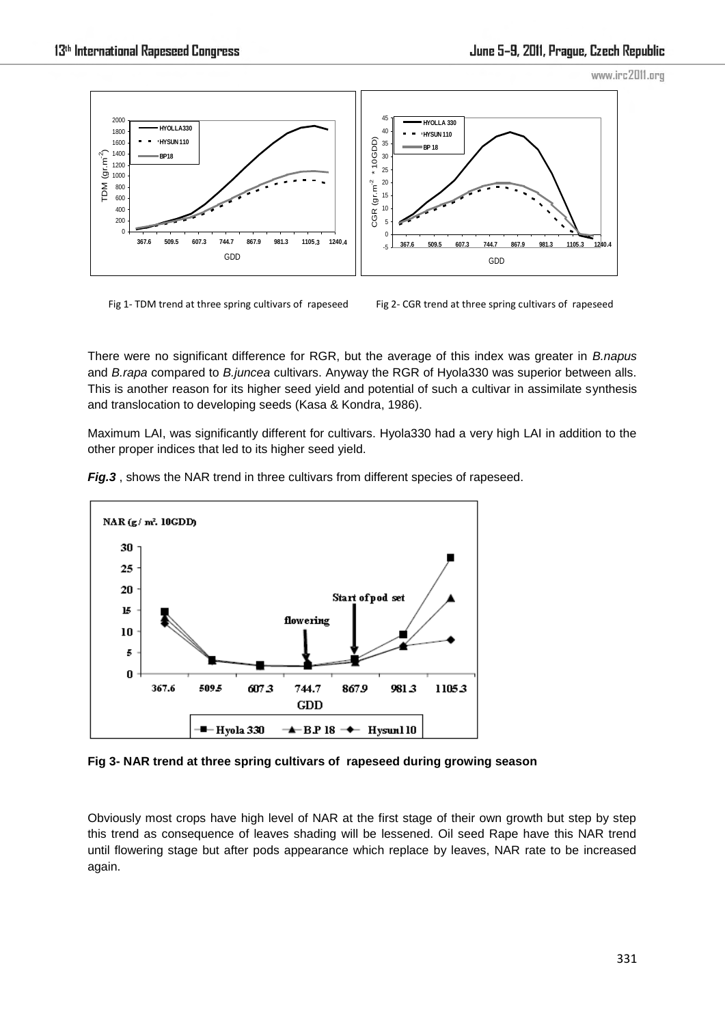

Fig 1- TDM trend at three spring cultivars of rapeseed

Fig 2- CGR trend at three spring cultivars of rapeseed

There were no significant difference for RGR, but the average of this index was greater in *B.napus* and *B.rapa* compared to *B.juncea* cultivars. Anyway the RGR of Hyola330 was superior between alls. This is another reason for its higher seed yield and potential of such a cultivar in assimilate synthesis and translocation to developing seeds (Kasa & Kondra, 1986).

Maximum LAI, was significantly different for cultivars. Hyola330 had a very high LAI in addition to the other proper indices that led to its higher seed yield.



*Fig.3* , shows the NAR trend in three cultivars from different species of rapeseed.

**Fig 3- NAR trend at three spring cultivars of rapeseed during growing season** 

Obviously most crops have high level of NAR at the first stage of their own growth but step by step this trend as consequence of leaves shading will be lessened. Oil seed Rape have this NAR trend until flowering stage but after pods appearance which replace by leaves, NAR rate to be increased again.